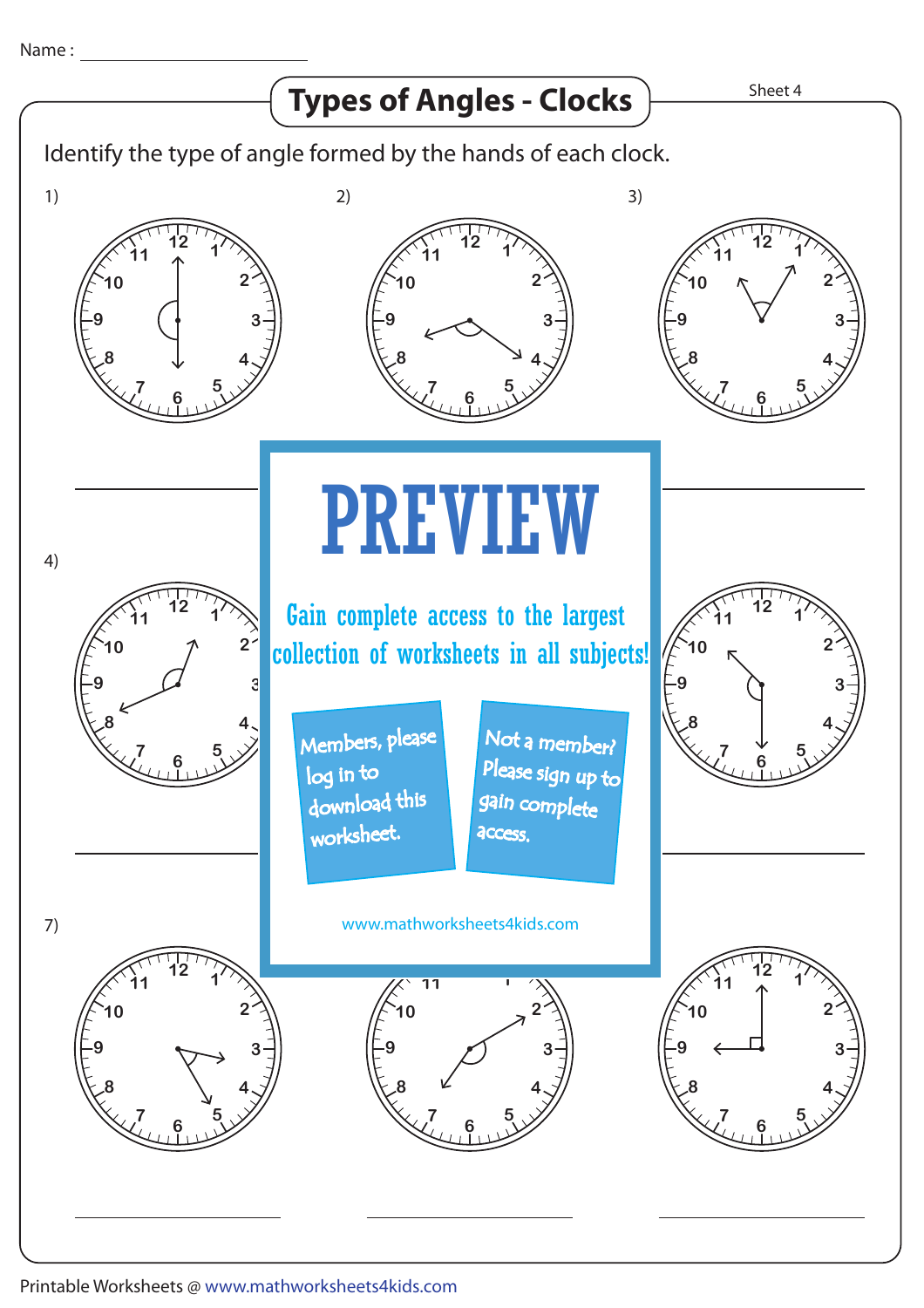